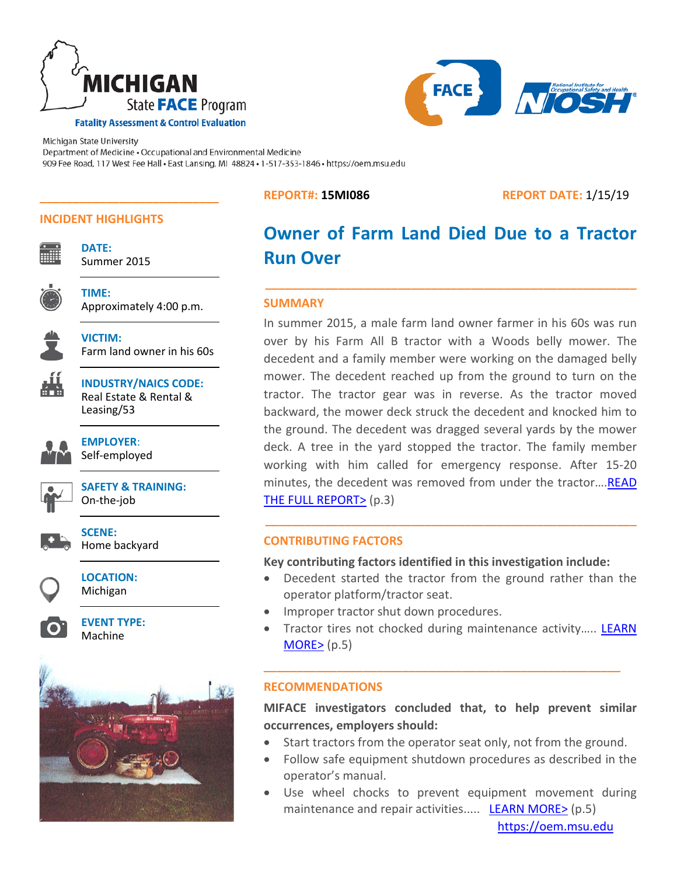



# **INCIDENT HIGHLIGHTS**

**VICTIM:**

**DATE:**  Summer 2015

**\_\_\_\_\_\_\_\_\_\_\_\_\_\_\_\_\_\_\_\_\_\_\_\_\_\_\_**

**TIME:** Approximately 4:00 p.m.



Farm land owner in his 60s

| -<br>_ |  |
|--------|--|
|        |  |
|        |  |
|        |  |
|        |  |
|        |  |

**INDUSTRY/NAICS CODE:** Real Estate & Rental & Leasing/53

**EMPLOYER**: Self-employed



**SAFETY & TRAINING:** On-the-job

**SCENE:**  Home backyard

**LOCATION:** Michigan

> **EVENT TYPE:** Machine



**REPORT#: 15MI086 REPORT DATE:** 1/15/19

# **Owner of Farm Land Died Due to a Tractor Run Over**

**\_\_\_\_\_\_\_\_\_\_\_\_\_\_\_\_\_\_\_\_\_\_\_\_\_\_\_\_\_\_\_\_\_\_\_\_\_\_\_\_\_\_\_\_\_\_\_\_\_\_\_\_\_\_\_\_** 

### **SUMMARY**

In summer 2015, a male farm land owner farmer in his 60s was run over by his Farm All B tractor with a Woods belly mower. The decedent and a family member were working on the damaged belly mower. The decedent reached up from the ground to turn on the tractor. The tractor gear was in reverse. As the tractor moved backward, the mower deck struck the decedent and knocked him to the ground. The decedent was dragged several yards by the mower deck. A tree in the yard stopped the tractor. The family member working with him called for emergency response. After 15-20 minutes, the decedent was removed from under the tractor…[.READ](#page-2-0)  [THE FULL REPORT>](#page-2-0) (p.3)

# **CONTRIBUTING FACTORS**

**Key contributing factors identified in this investigation include:**

• Decedent started the tractor from the ground rather than the operator platform/tractor seat.

**\_\_\_\_\_\_\_\_\_\_\_\_\_\_\_\_\_\_\_\_\_\_\_\_\_\_\_\_\_\_\_\_\_\_\_\_\_\_\_\_\_\_\_\_\_\_\_\_\_\_\_\_\_\_\_\_** 

- Improper tractor shut down procedures.
- Tractor tires not chocked during maintenance activity..... LEARN  $MORE>(p.5)$  $MORE>(p.5)$

**\_\_\_\_\_\_\_\_\_\_\_\_\_\_\_\_\_\_\_\_\_\_\_\_\_\_\_\_\_\_\_\_\_\_\_\_\_\_\_\_\_\_\_\_\_\_\_\_\_\_\_\_\_\_** 

# **RECOMMENDATIONS**

**MIFACE investigators concluded that, to help prevent similar occurrences, employers should:** 

- Start tractors from the operator seat only, not from the ground.
- Follow safe equipment shutdown procedures as described in the operator's manual.
- Use wheel chocks to prevent equipment movement during maintenance and repair activities..... **[LEARN MORE>](#page-4-1)** (p.5)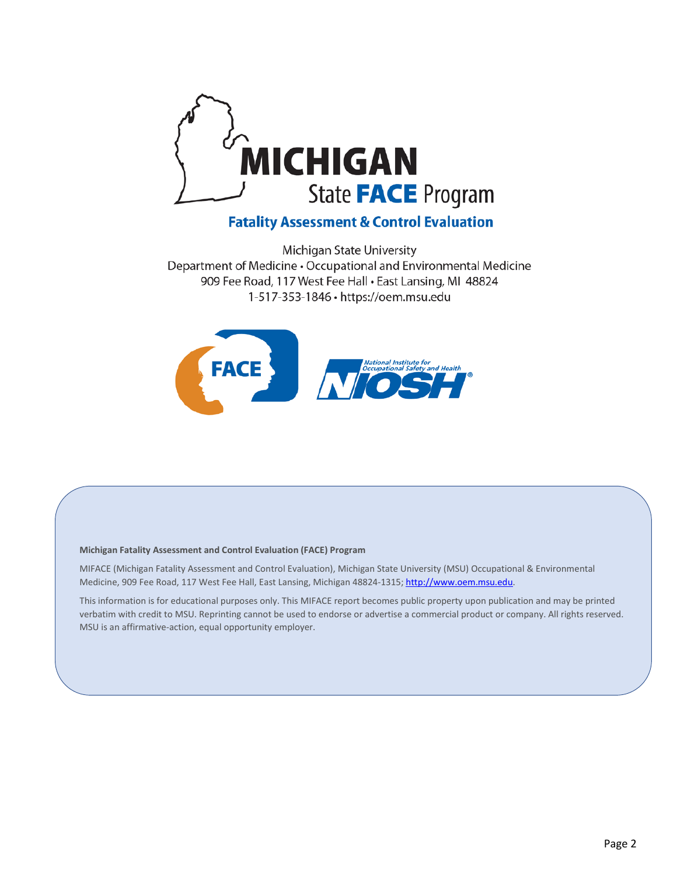

# **Fatality Assessment & Control Evaluation**

Michigan State University Department of Medicine . Occupational and Environmental Medicine 909 Fee Road, 117 West Fee Hall . East Lansing, MI 48824 1-517-353-1846 · https://oem.msu.edu



#### **Michigan Fatality Assessment and Control Evaluation (FACE) Program**

MIFACE (Michigan Fatality Assessment and Control Evaluation), Michigan State University (MSU) Occupational & Environmental Medicine, 909 Fee Road, 117 West Fee Hall, East Lansing, Michigan 48824-1315[; http://www.oem.msu.edu.](http://www.oem.msu.edu/)

This information is for educational purposes only. This MIFACE report becomes public property upon publication and may be printed verbatim with credit to MSU. Reprinting cannot be used to endorse or advertise a commercial product or company. All rights reserved. MSU is an affirmative-action, equal opportunity employer.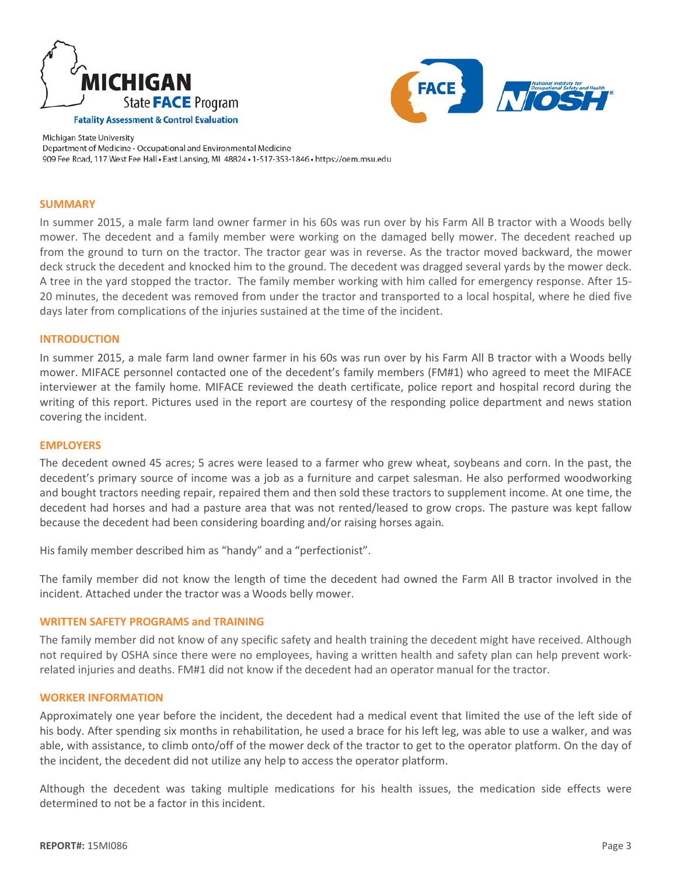



#### <span id="page-2-0"></span>**SUMMARY**

In summer 2015, a male farm land owner farmer in his 60s was run over by his Farm All B tractor with a Woods belly mower. The decedent and a family member were working on the damaged belly mower. The decedent reached up from the ground to turn on the tractor. The tractor gear was in reverse. As the tractor moved backward, the mower deck struck the decedent and knocked him to the ground. The decedent was dragged several yards by the mower deck. A tree in the yard stopped the tractor. The family member working with him called for emergency response. After 15- 20 minutes, the decedent was removed from under the tractor and transported to a local hospital, where he died five days later from complications of the injuries sustained at the time of the incident.

#### **INTRODUCTION**

In summer 2015, a male farm land owner farmer in his 60s was run over by his Farm All B tractor with a Woods belly mower. MIFACE personnel contacted one of the decedent's family members (FM#1) who agreed to meet the MIFACE interviewer at the family home. MIFACE reviewed the death certificate, police report and hospital record during the writing of this report. Pictures used in the report are courtesy of the responding police department and news station covering the incident.

#### **EMPLOYERS**

The decedent owned 45 acres; 5 acres were leased to a farmer who grew wheat, soybeans and corn. In the past, the decedent's primary source of income was a job as a furniture and carpet salesman. He also performed woodworking and bought tractors needing repair, repaired them and then sold these tractors to supplement income. At one time, the decedent had horses and had a pasture area that was not rented/leased to grow crops. The pasture was kept fallow because the decedent had been considering boarding and/or raising horses again.

His family member described him as "handy" and a "perfectionist".

The family member did not know the length of time the decedent had owned the Farm All B tractor involved in the incident. Attached under the tractor was a Woods belly mower.

#### **WRITTEN SAFETY PROGRAMS and TRAINING**

The family member did not know of any specific safety and health training the decedent might have received. Although not required by OSHA since there were no employees, having a written health and safety plan can help prevent workrelated injuries and deaths. FM#1 did not know if the decedent had an operator manual for the tractor.

#### **WORKER INFORMATION**

Approximately one year before the incident, the decedent had a medical event that limited the use of the left side of his body. After spending six months in rehabilitation, he used a brace for his left leg, was able to use a walker, and was able, with assistance, to climb onto/off of the mower deck of the tractor to get to the operator platform. On the day of the incident, the decedent did not utilize any help to access the operator platform.

Although the decedent was taking multiple medications for his health issues, the medication side effects were determined to not be a factor in this incident.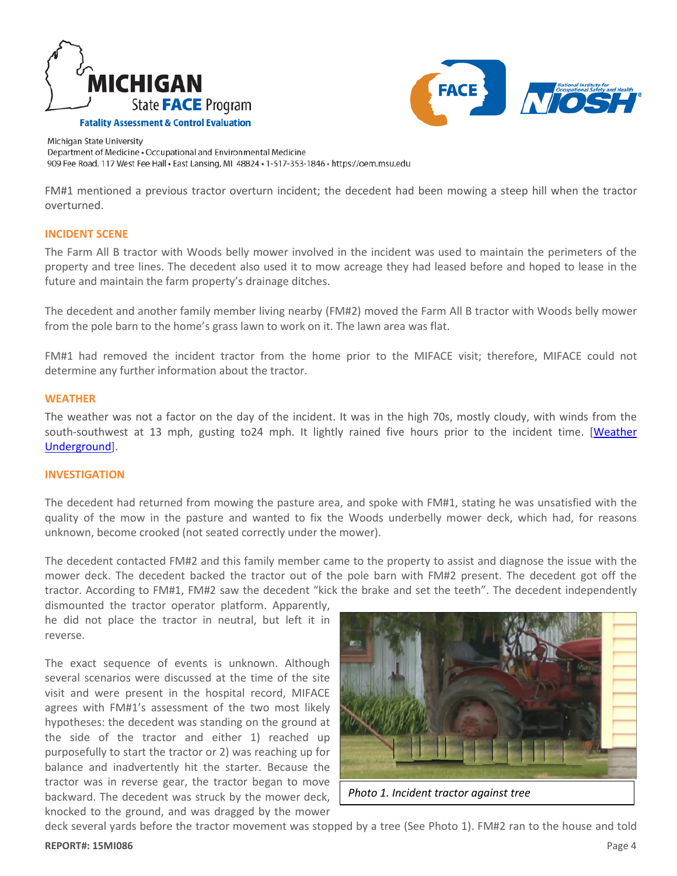



FM#1 mentioned a previous tractor overturn incident; the decedent had been mowing a steep hill when the tractor overturned.

#### **INCIDENT SCENE**

The Farm All B tractor with Woods belly mower involved in the incident was used to maintain the perimeters of the property and tree lines. The decedent also used it to mow acreage they had leased before and hoped to lease in the future and maintain the farm property's drainage ditches.

The decedent and another family member living nearby (FM#2) moved the Farm All B tractor with Woods belly mower from the pole barn to the home's grass lawn to work on it. The lawn area was flat.

FM#1 had removed the incident tractor from the home prior to the MIFACE visit; therefore, MIFACE could not determine any further information about the tractor.

#### **WEATHER**

The weather was not a factor on the day of the incident. It was in the high 70s, mostly cloudy, with winds from the south-southwest at 13 mph, gusting to24 mph. It lightly rained five hours prior to the incident time. [\[Weather](https://www.wunderground.com/)  [Underground\]](https://www.wunderground.com/).

#### **INVESTIGATION**

The decedent had returned from mowing the pasture area, and spoke with FM#1, stating he was unsatisfied with the quality of the mow in the pasture and wanted to fix the Woods underbelly mower deck, which had, for reasons unknown, become crooked (not seated correctly under the mower).

The decedent contacted FM#2 and this family member came to the property to assist and diagnose the issue with the mower deck. The decedent backed the tractor out of the pole barn with FM#2 present. The decedent got off the tractor. According to FM#1, FM#2 saw the decedent "kick the brake and set the teeth". The decedent independently

dismounted the tractor operator platform. Apparently, he did not place the tractor in neutral, but left it in reverse.

The exact sequence of events is unknown. Although several scenarios were discussed at the time of the site visit and were present in the hospital record, MIFACE agrees with FM#1's assessment of the two most likely hypotheses: the decedent was standing on the ground at the side of the tractor and either 1) reached up purposefully to start the tractor or 2) was reaching up for balance and inadvertently hit the starter. Because the tractor was in reverse gear, the tractor began to move backward. The decedent was struck by the mower deck, knocked to the ground, and was dragged by the mower



*Photo 1. Incident tractor against tree*

deck several yards before the tractor movement was stopped by a tree (See Photo 1). FM#2 ran to the house and told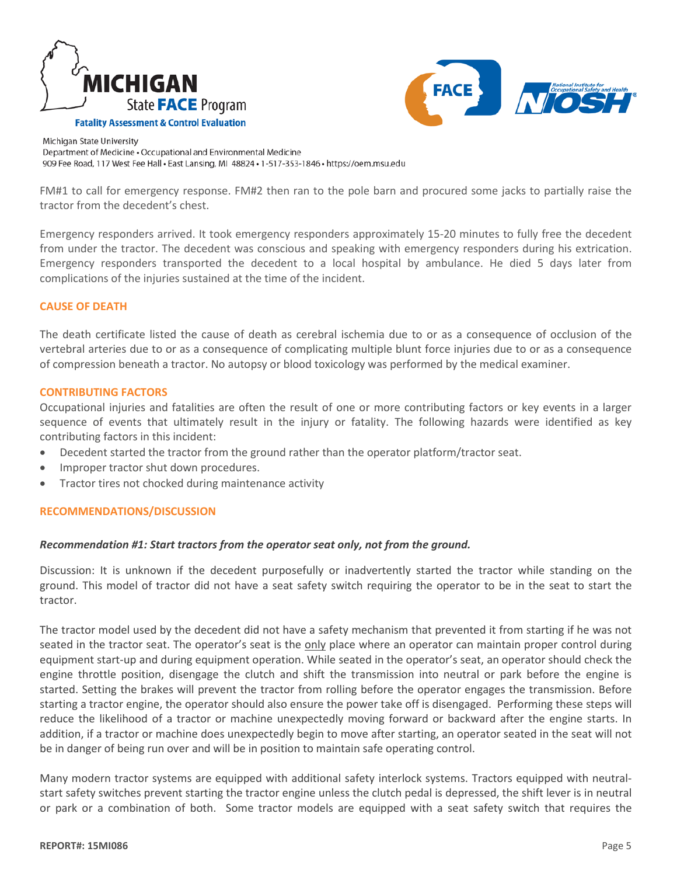



FM#1 to call for emergency response. FM#2 then ran to the pole barn and procured some jacks to partially raise the tractor from the decedent's chest.

Emergency responders arrived. It took emergency responders approximately 15-20 minutes to fully free the decedent from under the tractor. The decedent was conscious and speaking with emergency responders during his extrication. Emergency responders transported the decedent to a local hospital by ambulance. He died 5 days later from complications of the injuries sustained at the time of the incident.

#### **CAUSE OF DEATH**

The death certificate listed the cause of death as cerebral ischemia due to or as a consequence of occlusion of the vertebral arteries due to or as a consequence of complicating multiple blunt force injuries due to or as a consequence of compression beneath a tractor. No autopsy or blood toxicology was performed by the medical examiner.

#### <span id="page-4-0"></span>**CONTRIBUTING FACTORS**

Occupational injuries and fatalities are often the result of one or more contributing factors or key events in a larger sequence of events that ultimately result in the injury or fatality. The following hazards were identified as key contributing factors in this incident:

- <span id="page-4-1"></span>Decedent started the tractor from the ground rather than the operator platform/tractor seat.
- Improper tractor shut down procedures.
- Tractor tires not chocked during maintenance activity

#### **RECOMMENDATIONS/DISCUSSION**

#### *Recommendation #1: Start tractors from the operator seat only, not from the ground.*

Discussion: It is unknown if the decedent purposefully or inadvertently started the tractor while standing on the ground. This model of tractor did not have a seat safety switch requiring the operator to be in the seat to start the tractor.

The tractor model used by the decedent did not have a safety mechanism that prevented it from starting if he was not seated in the tractor seat. The operator's seat is the only place where an operator can maintain proper control during equipment start-up and during equipment operation. While seated in the operator's seat, an operator should check the engine throttle position, disengage the clutch and shift the transmission into neutral or park before the engine is started. Setting the brakes will prevent the tractor from rolling before the operator engages the transmission. Before starting a tractor engine, the operator should also ensure the power take off is disengaged. Performing these steps will reduce the likelihood of a tractor or machine unexpectedly moving forward or backward after the engine starts. In addition, if a tractor or machine does unexpectedly begin to move after starting, an operator seated in the seat will not be in danger of being run over and will be in position to maintain safe operating control.

Many modern tractor systems are equipped with additional safety interlock systems. Tractors equipped with neutralstart safety switches prevent starting the tractor engine unless the clutch pedal is depressed, the shift lever is in neutral or park or a combination of both. Some tractor models are equipped with a seat safety switch that requires the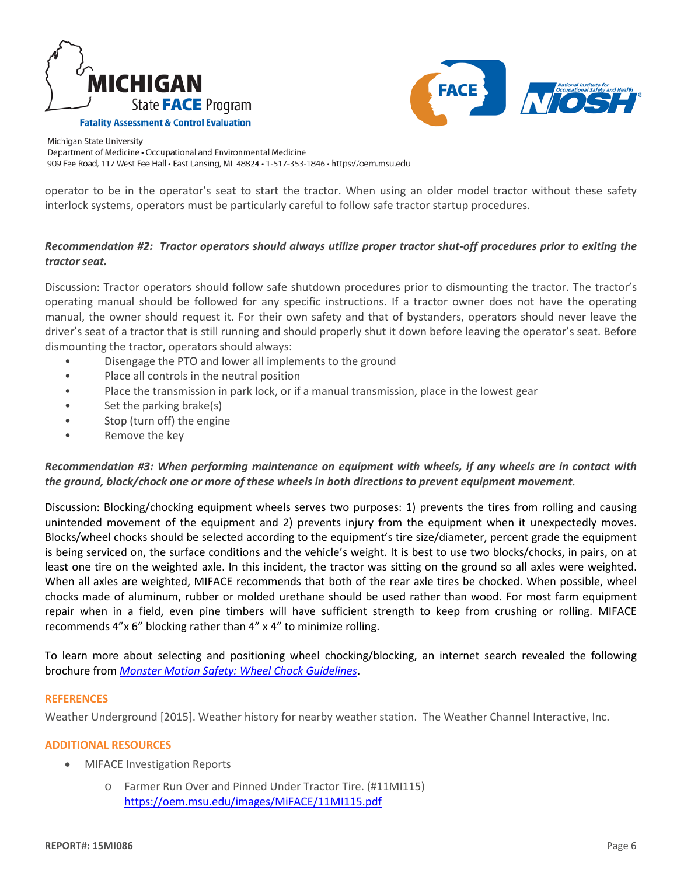



operator to be in the operator's seat to start the tractor. When using an older model tractor without these safety interlock systems, operators must be particularly careful to follow safe tractor startup procedures.

# *Recommendation #2: Tractor operators should always utilize proper tractor shut-off procedures prior to exiting the tractor seat.*

Discussion: Tractor operators should follow safe shutdown procedures prior to dismounting the tractor. The tractor's operating manual should be followed for any specific instructions. If a tractor owner does not have the operating manual, the owner should request it. For their own safety and that of bystanders, operators should never leave the driver's seat of a tractor that is still running and should properly shut it down before leaving the operator's seat. Before dismounting the tractor, operators should always:

- Disengage the PTO and lower all implements to the ground
- Place all controls in the neutral position
- Place the transmission in park lock, or if a manual transmission, place in the lowest gear
- Set the parking brake(s)
- Stop (turn off) the engine
- Remove the key

# *Recommendation #3: When performing maintenance on equipment with wheels, if any wheels are in contact with the ground, block/chock one or more of these wheels in both directions to prevent equipment movement.*

Discussion: Blocking/chocking equipment wheels serves two purposes: 1) prevents the tires from rolling and causing unintended movement of the equipment and 2) prevents injury from the equipment when it unexpectedly moves. Blocks/wheel chocks should be selected according to the equipment's tire size/diameter, percent grade the equipment is being serviced on, the surface conditions and the vehicle's weight. It is best to use two blocks/chocks, in pairs, on at least one tire on the weighted axle. In this incident, the tractor was sitting on the ground so all axles were weighted. When all axles are weighted, MIFACE recommends that both of the rear axle tires be chocked. When possible, wheel chocks made of aluminum, rubber or molded urethane should be used rather than wood. For most farm equipment repair when in a field, even pine timbers will have sufficient strength to keep from crushing or rolling. MIFACE recommends 4"x 6" blocking rather than 4" x 4" to minimize rolling.

To learn more about selecting and positioning wheel chocking/blocking, an internet search revealed the following brochure from *[Monster Motion Safety: Wheel Chock Guidelines](https://monster-safety.com/chocking-procedures/)*.

#### **REFERENCES**

Weather Underground [2015]. Weather history for nearby weather station. The Weather Channel Interactive, Inc.

## **ADDITIONAL RESOURCES**

- MIFACE Investigation Reports
	- o Farmer Run Over and Pinned Under Tractor Tire. (#11MI115) <https://oem.msu.edu/images/MiFACE/11MI115.pdf>